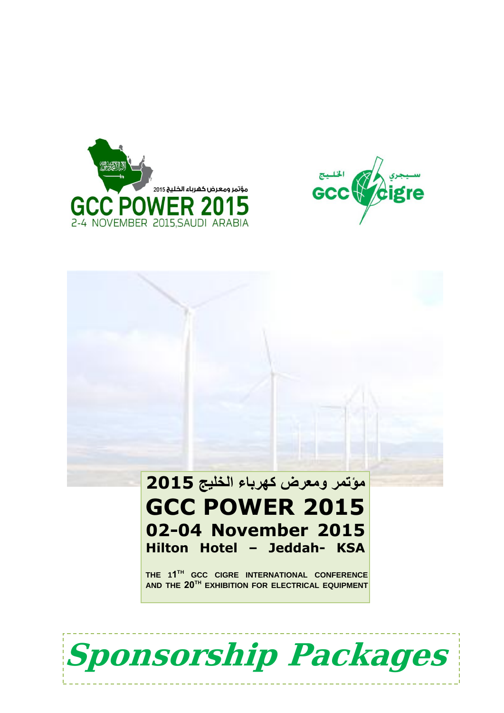



# **مؤتمر ومعرض كهرباء الخليج 1025 GCC POWER 2015 02-04 November 2015 Hilton Hotel – Jeddah- KSA**

**THE 11 TH GCC CIGRE INTERNATIONAL CONFERENCE AND THE 02TH EXHIBITION FOR ELECTRICAL EQUIPMENT**

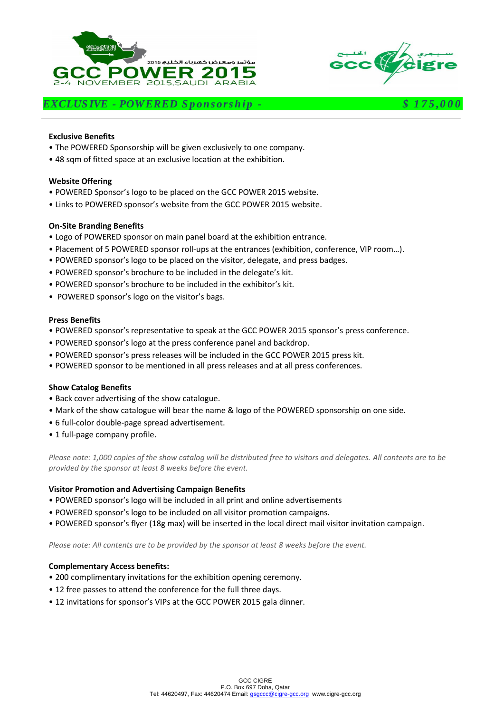



## *EXCLUS IVE - POWERED S p on s ors h ip - \$ 1 7 5 ,0 0 0*

#### **Exclusive Benefits**

- The POWERED Sponsorship will be given exclusively to one company.
- 48 sqm of fitted space at an exclusive location at the exhibition.

## **Website Offering**

- POWERED Sponsor's logo to be placed on the GCC POWER 2015 website.
- Links to POWERED sponsor's website from the GCC POWER 2015 website.

#### **On-Site Branding Benefits**

- Logo of POWERED sponsor on main panel board at the exhibition entrance.
- Placement of 5 POWERED sponsor roll-ups at the entrances (exhibition, conference, VIP room…).
- POWERED sponsor's logo to be placed on the visitor, delegate, and press badges.
- POWERED sponsor's brochure to be included in the delegate's kit.
- POWERED sponsor's brochure to be included in the exhibitor's kit.
- POWERED sponsor's logo on the visitor's bags.

#### **Press Benefits**

- POWERED sponsor's representative to speak at the GCC POWER 2015 sponsor's press conference.
- POWERED sponsor's logo at the press conference panel and backdrop.
- POWERED sponsor's press releases will be included in the GCC POWER 2015 press kit.
- POWERED sponsor to be mentioned in all press releases and at all press conferences.

#### **Show Catalog Benefits**

- Back cover advertising of the show catalogue.
- Mark of the show catalogue will bear the name & logo of the POWERED sponsorship on one side.
- 6 full-color double-page spread advertisement.
- 1 full-page company profile.

*Please note: 1,000 copies of the show catalog will be distributed free to visitors and delegates. All contents are to be provided by the sponsor at least 8 weeks before the event.*

#### **Visitor Promotion and Advertising Campaign Benefits**

- POWERED sponsor's logo will be included in all print and online advertisements
- POWERED sponsor's logo to be included on all visitor promotion campaigns.
- POWERED sponsor's flyer (18g max) will be inserted in the local direct mail visitor invitation campaign.

*Please note: All contents are to be provided by the sponsor at least 8 weeks before the event.*

- 200 complimentary invitations for the exhibition opening ceremony.
- 12 free passes to attend the conference for the full three days.
- 12 invitations for sponsor's VIPs at the GCC POWER 2015 gala dinner.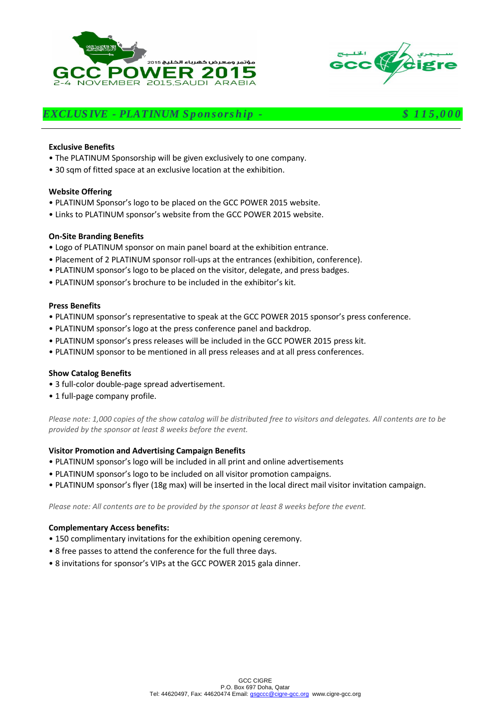



# *EXCLUS IVE - PLATINUM S p on s ors h ip - \$ 1 1 5 ,0 0 0*

#### **Exclusive Benefits**

- The PLATINUM Sponsorship will be given exclusively to one company.
- 30 sqm of fitted space at an exclusive location at the exhibition.

#### **Website Offering**

- PLATINUM Sponsor's logo to be placed on the GCC POWER 2015 website.
- Links to PLATINUM sponsor's website from the GCC POWER 2015 website.

#### **On-Site Branding Benefits**

- Logo of PLATINUM sponsor on main panel board at the exhibition entrance.
- Placement of 2 PLATINUM sponsor roll-ups at the entrances (exhibition, conference).
- PLATINUM sponsor's logo to be placed on the visitor, delegate, and press badges.
- PLATINUM sponsor's brochure to be included in the exhibitor's kit.

#### **Press Benefits**

- PLATINUM sponsor's representative to speak at the GCC POWER 2015 sponsor's press conference.
- PLATINUM sponsor's logo at the press conference panel and backdrop.
- PLATINUM sponsor's press releases will be included in the GCC POWER 2015 press kit.
- PLATINUM sponsor to be mentioned in all press releases and at all press conferences.

#### **Show Catalog Benefits**

- 3 full-color double-page spread advertisement.
- 1 full-page company profile.

*Please note: 1,000 copies of the show catalog will be distributed free to visitors and delegates. All contents are to be provided by the sponsor at least 8 weeks before the event.*

#### **Visitor Promotion and Advertising Campaign Benefits**

- PLATINUM sponsor's logo will be included in all print and online advertisements
- PLATINUM sponsor's logo to be included on all visitor promotion campaigns.
- PLATINUM sponsor's flyer (18g max) will be inserted in the local direct mail visitor invitation campaign.

*Please note: All contents are to be provided by the sponsor at least 8 weeks before the event.*

- 150 complimentary invitations for the exhibition opening ceremony.
- 8 free passes to attend the conference for the full three days.
- 8 invitations for sponsor's VIPs at the GCC POWER 2015 gala dinner.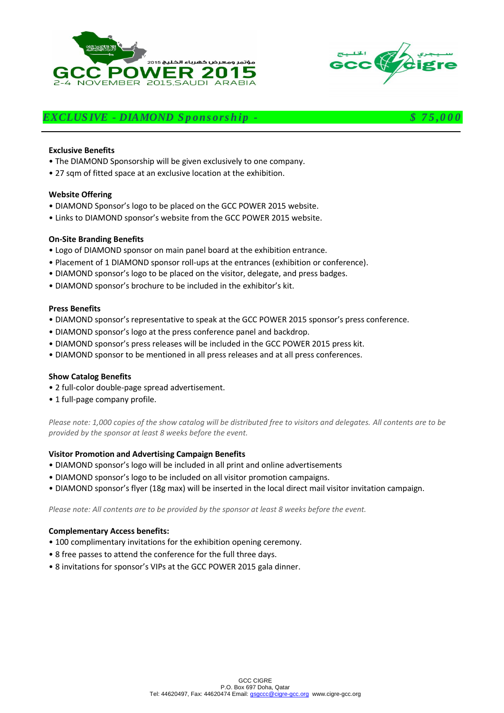



# *EXCLUS IVE - DIAMOND S p ons ors h ip - \$ 7 5 ,0 0 0*

#### **Exclusive Benefits**

- The DIAMOND Sponsorship will be given exclusively to one company.
- 27 sqm of fitted space at an exclusive location at the exhibition.

#### **Website Offering**

- DIAMOND Sponsor's logo to be placed on the GCC POWER 2015 website.
- Links to DIAMOND sponsor's website from the GCC POWER 2015 website.

#### **On-Site Branding Benefits**

- Logo of DIAMOND sponsor on main panel board at the exhibition entrance.
- Placement of 1 DIAMOND sponsor roll-ups at the entrances (exhibition or conference).
- DIAMOND sponsor's logo to be placed on the visitor, delegate, and press badges.
- DIAMOND sponsor's brochure to be included in the exhibitor's kit.

#### **Press Benefits**

- DIAMOND sponsor's representative to speak at the GCC POWER 2015 sponsor's press conference.
- DIAMOND sponsor's logo at the press conference panel and backdrop.
- DIAMOND sponsor's press releases will be included in the GCC POWER 2015 press kit.
- DIAMOND sponsor to be mentioned in all press releases and at all press conferences.

#### **Show Catalog Benefits**

- 2 full-color double-page spread advertisement.
- 1 full-page company profile.

*Please note: 1,000 copies of the show catalog will be distributed free to visitors and delegates. All contents are to be provided by the sponsor at least 8 weeks before the event.*

#### **Visitor Promotion and Advertising Campaign Benefits**

- DIAMOND sponsor's logo will be included in all print and online advertisements
- DIAMOND sponsor's logo to be included on all visitor promotion campaigns.
- DIAMOND sponsor's flyer (18g max) will be inserted in the local direct mail visitor invitation campaign.

*Please note: All contents are to be provided by the sponsor at least 8 weeks before the event.*

- 100 complimentary invitations for the exhibition opening ceremony.
- 8 free passes to attend the conference for the full three days.
- 8 invitations for sponsor's VIPs at the GCC POWER 2015 gala dinner.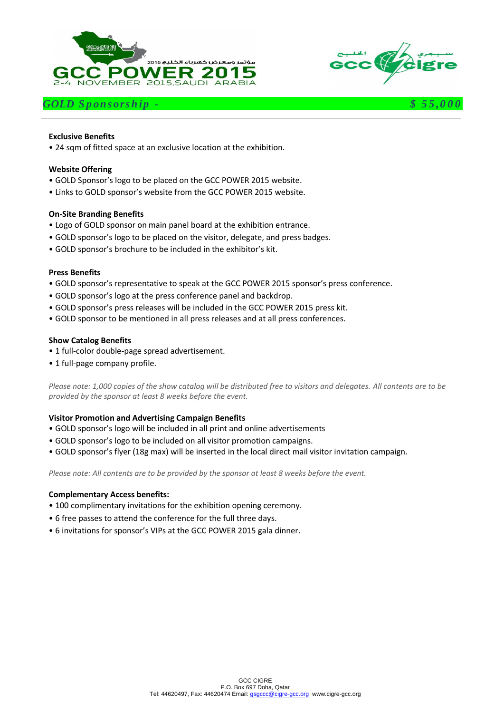





#### **Exclusive Benefits**

• 24 sqm of fitted space at an exclusive location at the exhibition.

#### **Website Offering**

- GOLD Sponsor's logo to be placed on the GCC POWER 2015 website.
- Links to GOLD sponsor's website from the GCC POWER 2015 website.

#### **On-Site Branding Benefits**

- Logo of GOLD sponsor on main panel board at the exhibition entrance.
- GOLD sponsor's logo to be placed on the visitor, delegate, and press badges.
- GOLD sponsor's brochure to be included in the exhibitor's kit.

#### **Press Benefits**

- GOLD sponsor's representative to speak at the GCC POWER 2015 sponsor's press conference.
- GOLD sponsor's logo at the press conference panel and backdrop.
- GOLD sponsor's press releases will be included in the GCC POWER 2015 press kit.
- GOLD sponsor to be mentioned in all press releases and at all press conferences.

#### **Show Catalog Benefits**

- 1 full-color double-page spread advertisement.
- 1 full-page company profile.

*Please note: 1,000 copies of the show catalog will be distributed free to visitors and delegates. All contents are to be provided by the sponsor at least 8 weeks before the event.*

#### **Visitor Promotion and Advertising Campaign Benefits**

- GOLD sponsor's logo will be included in all print and online advertisements
- GOLD sponsor's logo to be included on all visitor promotion campaigns.
- GOLD sponsor's flyer (18g max) will be inserted in the local direct mail visitor invitation campaign.

*Please note: All contents are to be provided by the sponsor at least 8 weeks before the event.*

- 100 complimentary invitations for the exhibition opening ceremony.
- 6 free passes to attend the conference for the full three days.
- 6 invitations for sponsor's VIPs at the GCC POWER 2015 gala dinner.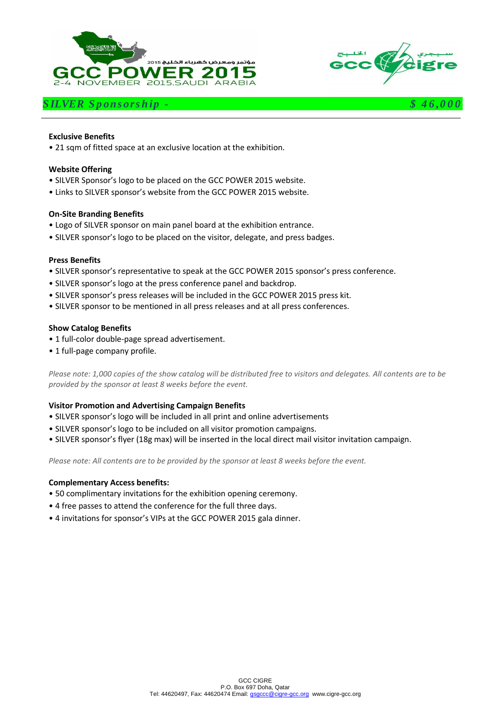





#### **Exclusive Benefits**

• 21 sqm of fitted space at an exclusive location at the exhibition.

#### **Website Offering**

- SILVER Sponsor's logo to be placed on the GCC POWER 2015 website.
- Links to SILVER sponsor's website from the GCC POWER 2015 website.

#### **On-Site Branding Benefits**

- Logo of SILVER sponsor on main panel board at the exhibition entrance.
- SILVER sponsor's logo to be placed on the visitor, delegate, and press badges.

#### **Press Benefits**

- SILVER sponsor's representative to speak at the GCC POWER 2015 sponsor's press conference.
- SILVER sponsor's logo at the press conference panel and backdrop.
- SILVER sponsor's press releases will be included in the GCC POWER 2015 press kit.
- SILVER sponsor to be mentioned in all press releases and at all press conferences.

#### **Show Catalog Benefits**

- 1 full-color double-page spread advertisement.
- 1 full-page company profile.

*Please note: 1,000 copies of the show catalog will be distributed free to visitors and delegates. All contents are to be provided by the sponsor at least 8 weeks before the event.*

#### **Visitor Promotion and Advertising Campaign Benefits**

- SILVER sponsor's logo will be included in all print and online advertisements
- SILVER sponsor's logo to be included on all visitor promotion campaigns.
- SILVER sponsor's flyer (18g max) will be inserted in the local direct mail visitor invitation campaign.

*Please note: All contents are to be provided by the sponsor at least 8 weeks before the event.*

- 50 complimentary invitations for the exhibition opening ceremony.
- 4 free passes to attend the conference for the full three days.
- 4 invitations for sponsor's VIPs at the GCC POWER 2015 gala dinner.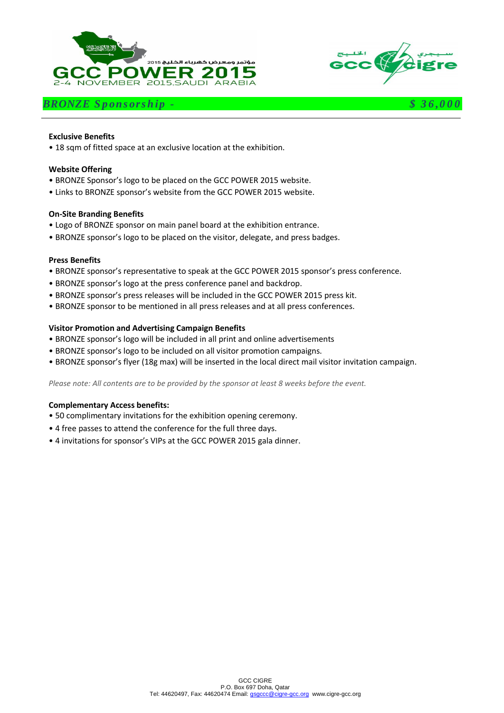





#### **Exclusive Benefits**

• 18 sqm of fitted space at an exclusive location at the exhibition.

#### **Website Offering**

- BRONZE Sponsor's logo to be placed on the GCC POWER 2015 website.
- Links to BRONZE sponsor's website from the GCC POWER 2015 website.

#### **On-Site Branding Benefits**

- Logo of BRONZE sponsor on main panel board at the exhibition entrance.
- BRONZE sponsor's logo to be placed on the visitor, delegate, and press badges.

#### **Press Benefits**

- BRONZE sponsor's representative to speak at the GCC POWER 2015 sponsor's press conference.
- BRONZE sponsor's logo at the press conference panel and backdrop.
- BRONZE sponsor's press releases will be included in the GCC POWER 2015 press kit.
- BRONZE sponsor to be mentioned in all press releases and at all press conferences.

#### **Visitor Promotion and Advertising Campaign Benefits**

- BRONZE sponsor's logo will be included in all print and online advertisements
- BRONZE sponsor's logo to be included on all visitor promotion campaigns.
- BRONZE sponsor's flyer (18g max) will be inserted in the local direct mail visitor invitation campaign.

*Please note: All contents are to be provided by the sponsor at least 8 weeks before the event.*

- 50 complimentary invitations for the exhibition opening ceremony.
- 4 free passes to attend the conference for the full three days.
- 4 invitations for sponsor's VIPs at the GCC POWER 2015 gala dinner.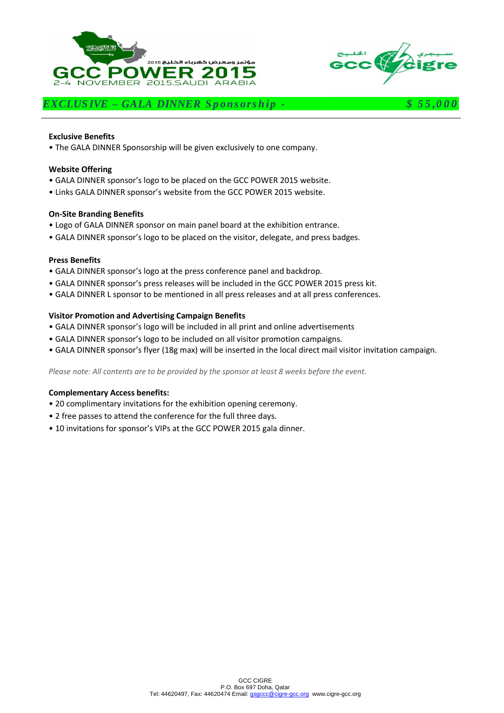



*EXCLUS IVE – GALA DINNER S p ons ors h ip - \$ 5 5 ,0 0 0*

#### **Exclusive Benefits**

• The GALA DINNER Sponsorship will be given exclusively to one company.

#### **Website Offering**

- GALA DINNER sponsor's logo to be placed on the GCC POWER 2015 website.
- Links GALA DINNER sponsor's website from the GCC POWER 2015 website.

#### **On-Site Branding Benefits**

- Logo of GALA DINNER sponsor on main panel board at the exhibition entrance.
- GALA DINNER sponsor's logo to be placed on the visitor, delegate, and press badges.

## **Press Benefits**

- GALA DINNER sponsor's logo at the press conference panel and backdrop.
- GALA DINNER sponsor's press releases will be included in the GCC POWER 2015 press kit.
- GALA DINNER L sponsor to be mentioned in all press releases and at all press conferences.

#### **Visitor Promotion and Advertising Campaign Benefits**

- GALA DINNER sponsor's logo will be included in all print and online advertisements
- GALA DINNER sponsor's logo to be included on all visitor promotion campaigns.
- GALA DINNER sponsor's flyer (18g max) will be inserted in the local direct mail visitor invitation campaign.

*Please note: All contents are to be provided by the sponsor at least 8 weeks before the event.*

- 20 complimentary invitations for the exhibition opening ceremony.
- 2 free passes to attend the conference for the full three days.
- 10 invitations for sponsor's VIPs at the GCC POWER 2015 gala dinner.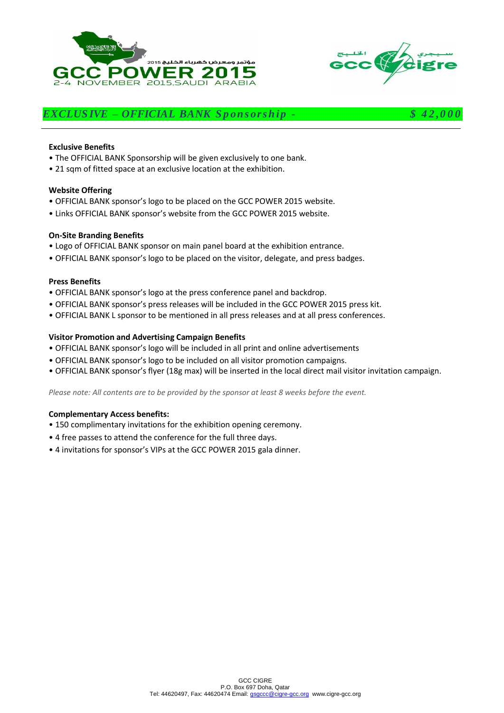



# *EXCLUS IVE – OFFICIAL BANK S p on s ors h ip - \$ 4 2 ,0 0 0*

#### **Exclusive Benefits**

- The OFFICIAL BANK Sponsorship will be given exclusively to one bank.
- 21 sqm of fitted space at an exclusive location at the exhibition.

#### **Website Offering**

- OFFICIAL BANK sponsor's logo to be placed on the GCC POWER 2015 website.
- Links OFFICIAL BANK sponsor's website from the GCC POWER 2015 website.

#### **On-Site Branding Benefits**

- Logo of OFFICIAL BANK sponsor on main panel board at the exhibition entrance.
- OFFICIAL BANK sponsor's logo to be placed on the visitor, delegate, and press badges.

#### **Press Benefits**

- OFFICIAL BANK sponsor's logo at the press conference panel and backdrop.
- OFFICIAL BANK sponsor's press releases will be included in the GCC POWER 2015 press kit.
- OFFICIAL BANK L sponsor to be mentioned in all press releases and at all press conferences.

#### **Visitor Promotion and Advertising Campaign Benefits**

- OFFICIAL BANK sponsor's logo will be included in all print and online advertisements
- OFFICIAL BANK sponsor's logo to be included on all visitor promotion campaigns.
- OFFICIAL BANK sponsor's flyer (18g max) will be inserted in the local direct mail visitor invitation campaign.

*Please note: All contents are to be provided by the sponsor at least 8 weeks before the event.*

- 150 complimentary invitations for the exhibition opening ceremony.
- 4 free passes to attend the conference for the full three days.
- 4 invitations for sponsor's VIPs at the GCC POWER 2015 gala dinner.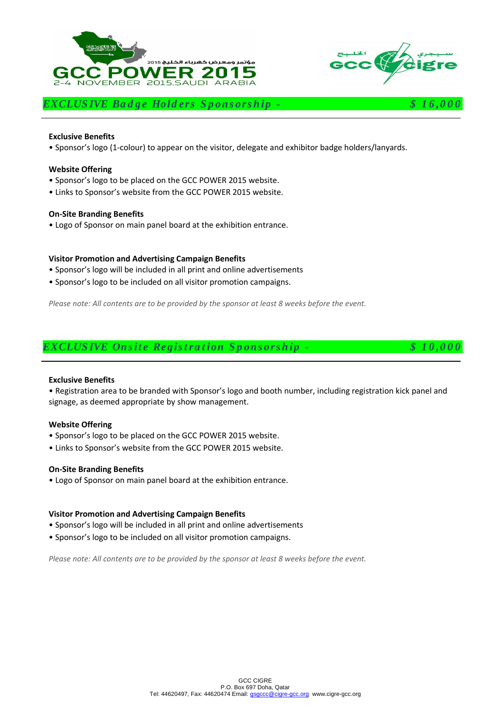



# *EXCLUSIVE Badge Holders Sponsorship -*  $$ 16,00$

#### **Exclusive Benefits**

• Sponsor's logo (1-colour) to appear on the visitor, delegate and exhibitor badge holders/lanyards.

#### **Website Offering**

- Sponsor's logo to be placed on the GCC POWER 2015 website.
- Links to Sponsor's website from the GCC POWER 2015 website.

#### **On-Site Branding Benefits**

• Logo of Sponsor on main panel board at the exhibition entrance.

#### **Visitor Promotion and Advertising Campaign Benefits**

- Sponsor's logo will be included in all print and online advertisements
- Sponsor's logo to be included on all visitor promotion campaigns.

*Please note: All contents are to be provided by the sponsor at least 8 weeks before the event.*



#### **Exclusive Benefits**

• Registration area to be branded with Sponsor's logo and booth number, including registration kick panel and signage, as deemed appropriate by show management.

#### **Website Offering**

- Sponsor's logo to be placed on the GCC POWER 2015 website.
- Links to Sponsor's website from the GCC POWER 2015 website.

#### **On-Site Branding Benefits**

• Logo of Sponsor on main panel board at the exhibition entrance.

#### **Visitor Promotion and Advertising Campaign Benefits**

- Sponsor's logo will be included in all print and online advertisements
- Sponsor's logo to be included on all visitor promotion campaigns.

*Please note: All contents are to be provided by the sponsor at least 8 weeks before the event.*